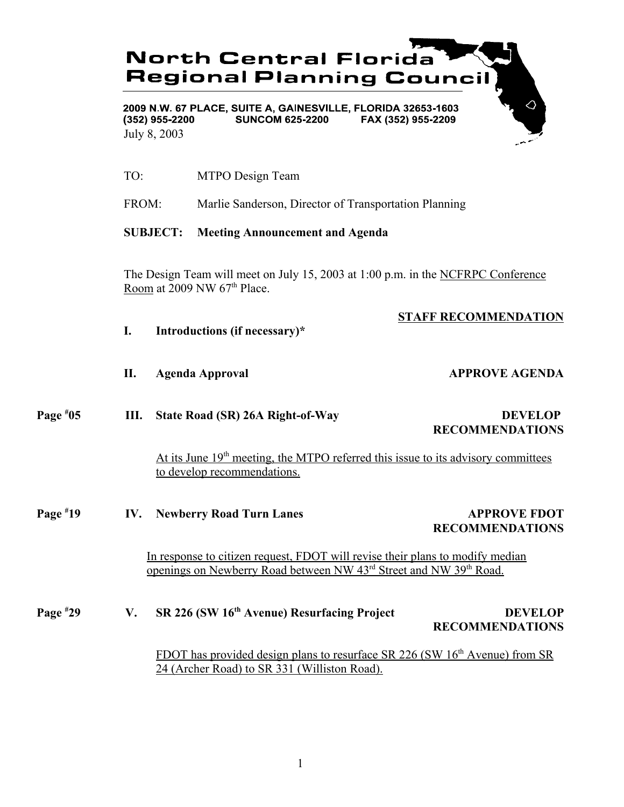

- TO: MTPO Design Team
- FROM: Marlie Sanderson, Director of Transportation Planning

### **SUBJECT: Meeting Announcement and Agenda**

The Design Team will meet on July 15, 2003 at 1:00 p.m. in the NCFRPC Conference Room at  $2009$  NW  $67<sup>th</sup>$  Place.

## **STAFF RECOMMENDATION**

- **I. Introductions (if necessary)\***
- **II.** Agenda Approval **APPROVE AGENDA**

**Page # III.** State Road (SR) 26A Right-of-Way DEVELOP **RECOMMENDATIONS**

> At its June  $19<sup>th</sup>$  meeting, the MTPO referred this issue to its advisory committees to develop recommendations.

**Page # 19 IV.** Newberry Road Turn Lanes APPROVE FDOT **RECOMMENDATIONS**

In response to citizen request, FDOT will revise their plans to modify median openings on Newberry Road between NW 43<sup>rd</sup> Street and NW 39<sup>th</sup> Road.

# **Page # 29 V. SR 226 (SW 16th Avenue) Resurfacing Project DEVELOP RECOMMENDATIONS**

FDOT has provided design plans to resurface SR 226 (SW  $16<sup>th</sup>$  Avenue) from SR 24 (Archer Road) to SR 331 (Williston Road).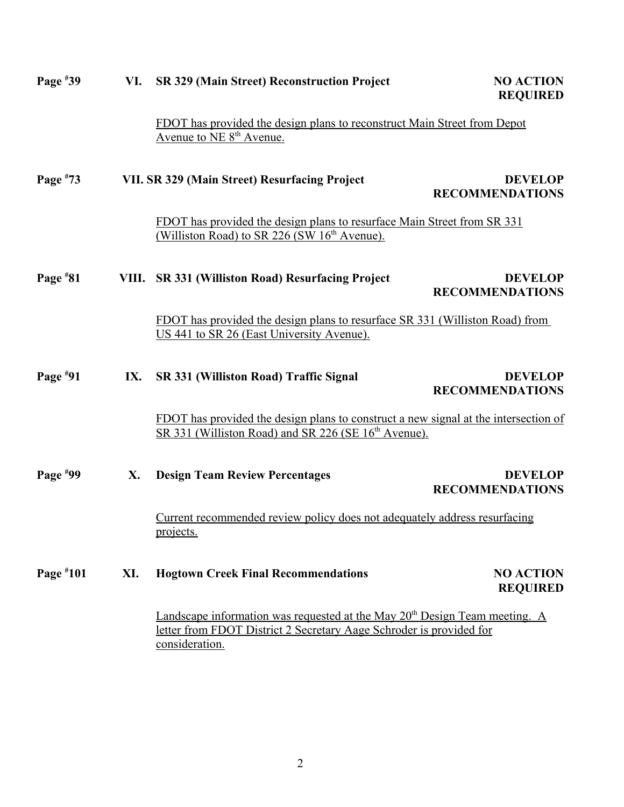| Page $*39$ | VI. | <b>SR 329 (Main Street) Reconstruction Project</b>                                                                                                                              | <b>NO ACTION</b><br><b>REQUIRED</b>      |
|------------|-----|---------------------------------------------------------------------------------------------------------------------------------------------------------------------------------|------------------------------------------|
|            |     | FDOT has provided the design plans to reconstruct Main Street from Depot<br>Avenue to NE 8 <sup>th</sup> Avenue.                                                                |                                          |
| Page $*73$ |     | VII. SR 329 (Main Street) Resurfacing Project                                                                                                                                   | <b>DEVELOP</b><br><b>RECOMMENDATIONS</b> |
|            |     | FDOT has provided the design plans to resurface Main Street from SR 331<br>(Williston Road) to SR 226 (SW 16 <sup>th</sup> Avenue).                                             |                                          |
| Page $*81$ |     | VIII. SR 331 (Williston Road) Resurfacing Project                                                                                                                               | <b>DEVELOP</b><br><b>RECOMMENDATIONS</b> |
|            |     | FDOT has provided the design plans to resurface SR 331 (Williston Road) from<br>US 441 to SR 26 (East University Avenue).                                                       |                                          |
| Page $*91$ | IX. | SR 331 (Williston Road) Traffic Signal                                                                                                                                          | <b>DEVELOP</b><br><b>RECOMMENDATIONS</b> |
|            |     | FDOT has provided the design plans to construct a new signal at the intersection of<br>SR 331 (Williston Road) and SR 226 (SE 16 <sup>th</sup> Avenue).                         |                                          |
| Page $*99$ | X.  | <b>Design Team Review Percentages</b>                                                                                                                                           | <b>DEVELOP</b><br><b>RECOMMENDATIONS</b> |
|            |     | Current recommended review policy does not adequately address resurfacing<br>projects.                                                                                          |                                          |
| Page #101  | XI. | <b>Hogtown Creek Final Recommendations</b>                                                                                                                                      | <b>NO ACTION</b><br><b>REQUIRED</b>      |
|            |     | Landscape information was requested at the May 20 <sup>th</sup> Design Team meeting. A<br>letter from FDOT District 2 Secretary Aage Schroder is provided for<br>consideration. |                                          |